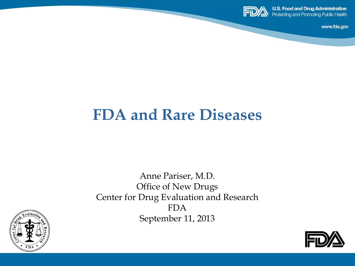

www.fda.gov

### **FDA and Rare Diseases**

Anne Pariser, M.D. Office of New Drugs Center for Drug Evaluation and Research FDA September 11, 2013



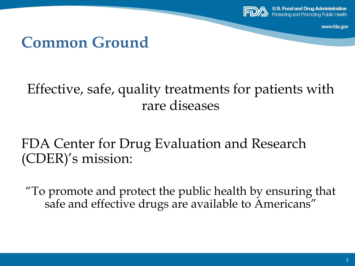

www.fda.gov

#### **Common Ground**

#### Effective, safe, quality treatments for patients with rare diseases

#### FDA Center for Drug Evaluation and Research (CDER)'s mission:

"To promote and protect the public health by ensuring that safe and effective drugs are available to Americans"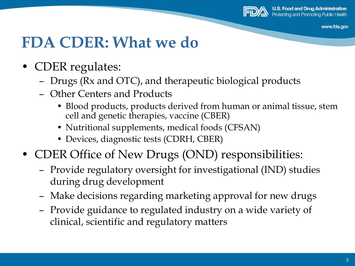

www.fda.gov

### **FDA CDER: What we do**

- CDER regulates:
	- Drugs (Rx and OTC), and therapeutic biological products
	- Other Centers and Products
		- Blood products, products derived from human or animal tissue, stem cell and genetic therapies, vaccine (CBER)
		- Nutritional supplements, medical foods (CFSAN)
		- Devices, diagnostic tests (CDRH, CBER)
- CDER Office of New Drugs (OND) responsibilities:
	- Provide regulatory oversight for investigational (IND) studies during drug development
	- Make decisions regarding marketing approval for new drugs
	- Provide guidance to regulated industry on a wide variety of clinical, scientific and regulatory matters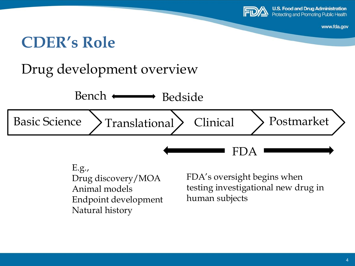

www.fda.gov

### **CDER's Role**

#### Drug development overview



E.g., Drug discovery/MOA Animal models Endpoint development Natural history

FDA's oversight begins when testing investigational new drug in human subjects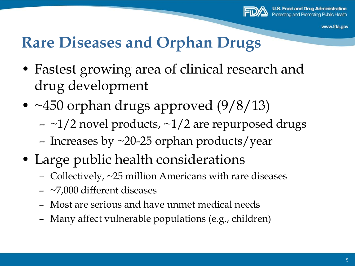

### **Rare Diseases and Orphan Drugs**

- Fastest growing area of clinical research and drug development
- ~450 orphan drugs approved (9/8/13)
	- $-$  ~1/2 novel products, ~1/2 are repurposed drugs
	- Increases by  $\sim$ 20-25 orphan products/year
- Large public health considerations
	- Collectively, ~25 million Americans with rare diseases
	- ~7,000 different diseases
	- Most are serious and have unmet medical needs
	- Many affect vulnerable populations (e.g., children)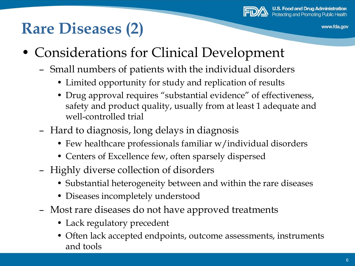

# **Rare Diseases (2)**

- Considerations for Clinical Development
	- Small numbers of patients with the individual disorders
		- Limited opportunity for study and replication of results
		- Drug approval requires "substantial evidence" of effectiveness, safety and product quality, usually from at least 1 adequate and well-controlled trial
	- Hard to diagnosis, long delays in diagnosis
		- Few healthcare professionals familiar w/individual disorders
		- Centers of Excellence few, often sparsely dispersed
	- Highly diverse collection of disorders
		- Substantial heterogeneity between and within the rare diseases
		- Diseases incompletely understood
	- Most rare diseases do not have approved treatments
		- Lack regulatory precedent
		- Often lack accepted endpoints, outcome assessments, instruments and tools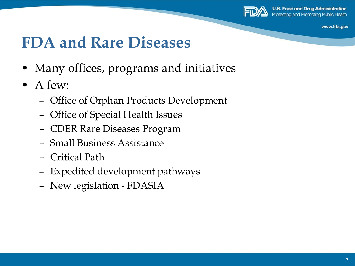

www.fda.gov

### **FDA and Rare Diseases**

- Many offices, programs and initiatives
- A few:
	- Office of Orphan Products Development
	- Office of Special Health Issues
	- CDER Rare Diseases Program
	- Small Business Assistance
	- Critical Path
	- Expedited development pathways
	- New legislation FDASIA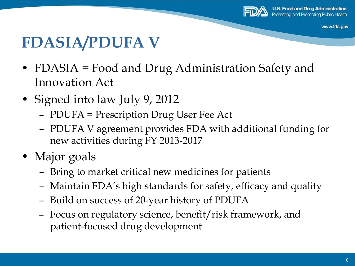

www.fda.gov

### **FDASIA/PDUFA V**

- FDASIA = Food and Drug Administration Safety and Innovation Act
- Signed into law July 9, 2012
	- PDUFA = Prescription Drug User Fee Act
	- PDUFA V agreement provides FDA with additional funding for new activities during FY 2013-2017
- Major goals
	- Bring to market critical new medicines for patients
	- Maintain FDA's high standards for safety, efficacy and quality
	- Build on success of 20-year history of PDUFA
	- Focus on regulatory science, benefit/risk framework, and patient-focused drug development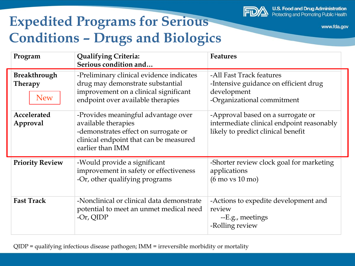

#### **Expedited Programs for Serious Conditions – Drugs and Biologics**

| Program                                             | <b>Qualifying Criteria:</b><br>Serious condition and                                                                                                             | <b>Features</b>                                                                                                      |
|-----------------------------------------------------|------------------------------------------------------------------------------------------------------------------------------------------------------------------|----------------------------------------------------------------------------------------------------------------------|
| <b>Breakthrough</b><br><b>Therapy</b><br><b>New</b> | -Preliminary clinical evidence indicates<br>drug may demonstrate substantial<br>improvement on a clinical significant<br>endpoint over available therapies       | -All Fast Track features<br>-Intensive guidance on efficient drug<br>development<br>-Organizational commitment       |
| Accelerated<br>Approval                             | -Provides meaningful advantage over<br>available therapies<br>-demonstrates effect on surrogate or<br>clinical endpoint that can be measured<br>earlier than IMM | -Approval based on a surrogate or<br>intermediate clinical endpoint reasonably<br>likely to predict clinical benefit |
| <b>Priority Review</b>                              | -Would provide a significant<br>improvement in safety or effectiveness<br>-Or, other qualifying programs                                                         | -Shorter review clock goal for marketing<br>applications<br>$(6 \text{ mo vs } 10 \text{ mo})$                       |
| <b>Fast Track</b>                                   | -Nonclinical or clinical data demonstrate<br>potential to meet an unmet medical need<br>$-Or$ , QIDP                                                             | -Actions to expedite development and<br>review<br>--E.g., meetings<br>-Rolling review                                |

QIDP = qualifying infectious disease pathogen; IMM = irreversible morbidity or mortality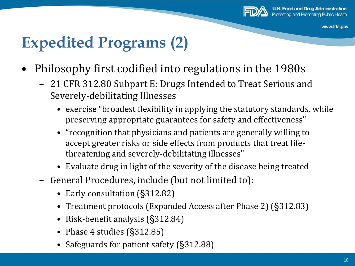

## **Expedited Programs (2)**

- Philosophy first codified into regulations in the 1980s
	- 21 CFR 312.80 Subpart E: Drugs Intended to Treat Serious and Severely-debilitating Illnesses
		- exercise "broadest flexibility in applying the statutory standards, while preserving appropriate guarantees for safety and effectiveness"
		- "recognition that physicians and patients are generally willing to accept greater risks or side effects from products that treat lifethreatening and severely-debilitating illnesses"
		- Evaluate drug in light of the severity of the disease being treated
	- General Procedures, include (but not limited to):
		- Early consultation (§312.82)
		- Treatment protocols (Expanded Access after Phase 2) (§312.83)
		- Risk-benefit analysis (§312.84)
		- Phase 4 studies (§312.85)
		- Safeguards for patient safety (§312.88)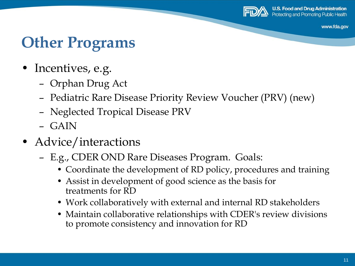

www.fda.gov

## **Other Programs**

- Incentives, e.g.
	- Orphan Drug Act
	- Pediatric Rare Disease Priority Review Voucher (PRV) (new)
	- Neglected Tropical Disease PRV
	- GAIN
- Advice/interactions
	- E.g., CDER OND Rare Diseases Program. Goals:
		- Coordinate the development of RD policy, procedures and training
		- Assist in development of good science as the basis for treatments for RD
		- Work collaboratively with external and internal RD stakeholders
		- Maintain collaborative relationships with CDER's review divisions to promote consistency and innovation for RD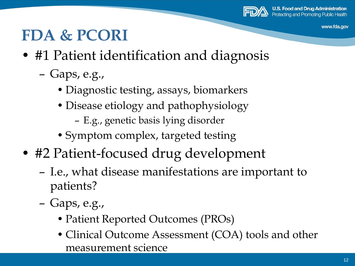

www.fda.gov

## **FDA & PCORI**

- #1 Patient identification and diagnosis
	- Gaps, e.g.,
		- Diagnostic testing, assays, biomarkers
		- Disease etiology and pathophysiology
			- E.g., genetic basis lying disorder
		- Symptom complex, targeted testing
- #2 Patient-focused drug development
	- I.e., what disease manifestations are important to patients?
	- Gaps, e.g.,
		- Patient Reported Outcomes (PROs)
		- Clinical Outcome Assessment (COA) tools and other measurement science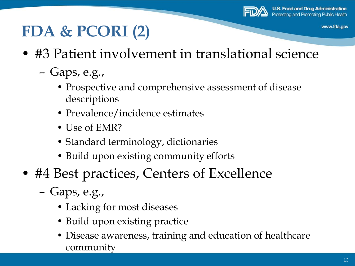

# **FDA & PCORI (2)**

- #3 Patient involvement in translational science
	- Gaps, e.g.,
		- Prospective and comprehensive assessment of disease descriptions
		- Prevalence/incidence estimates
		- Use of EMR?
		- Standard terminology, dictionaries
		- Build upon existing community efforts
- #4 Best practices, Centers of Excellence
	- Gaps, e.g.,
		- Lacking for most diseases
		- Build upon existing practice
		- Disease awareness, training and education of healthcare community